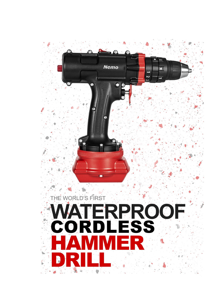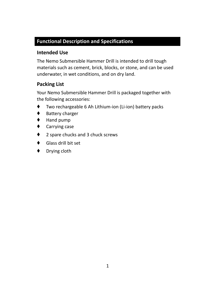### **Functional Description and Specifications**

### **Intended Use**

The Nemo Submersible Hammer Drill is intended to drill tough materials such as cement, brick, blocks, or stone, and can be used underwater, in wet conditions, and on dry land.

### **Packing List**

Your Nemo Submersible Hammer Drill is packaged together with the following accessories:

- Two rechargeable 6 Ah Lithium-ion (Li-ion) battery packs
- ♦ Battery charger
- Hand pump
- ♦ Carrying case
- ♦ 2 spare chucks and 3 chuck screws
- ♦ Glass drill bit set
- ♦ Drying cloth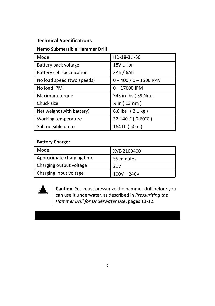### **Technical Specifications**

#### **Nemo Submersible Hammer Drill**

| Model                      | HD-18-3Li-50               |
|----------------------------|----------------------------|
| Battery pack voltage       | 18V Li-ion                 |
| Battery cell specification | 3Ah/6Ah                    |
| No load speed (two speeds) | $0 - 400 / 0 - 1500$ RPM   |
| No load IPM                | $0 - 17600$ IPM            |
| Maximum torque             | 345 in-lbs (39 Nm)         |
| Chuck size                 | $\frac{1}{2}$ in (13mm)    |
| Net weight (with battery)  | 6.8 lbs $(3.1 \text{ kg})$ |
| Working temperature        | 32-140°F (0-60°C)          |
| Submersible up to          | 164 ft (50m)               |

#### **Battery Charger**

| Model                     | XVE-2100400   |
|---------------------------|---------------|
| Approximate charging time | 55 minutes    |
| Charging output voltage   | 21V           |
| Charging input voltage    | $100V - 240V$ |



**Caution:** You must pressurize the hammer drill before you can use it underwater, as described in *Pressurizing the Hammer Drill for Underwater Use*, pages 11-12.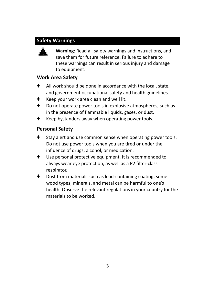### **Safety Warnings**



**Warning:** Read all safety warnings and instructions, and save them for future reference. Failure to adhere to these warnings can result in serious injury and damage to equipment.

### **Work Area Safety**

- ♦ All work should be done in accordance with the local, state, and government occupational safety and health guidelines.
- Keep your work area clean and well lit.
- Do not operate power tools in explosive atmospheres, such as in the presence of flammable liquids, gases, or dust.
- Keep bystanders away when operating power tools.

### **Personal Safety**

- Stay alert and use common sense when operating power tools. Do not use power tools when you are tired or under the influence of drugs, alcohol, or medication.
- Use personal protective equipment. It is recommended to always wear eye protection, as well as a P2 filter-class respirator.
- Dust from materials such as lead-containing coating, some wood types, minerals, and metal can be harmful to one's health. Observe the relevant regulations in your country for the materials to be worked.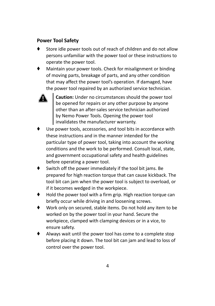#### **Power Tool Safety**

- Store idle power tools out of reach of children and do not allow persons unfamiliar with the power tool or these instructions to operate the power tool.
- Maintain your power tools. Check for misalignment or binding of moving parts, breakage of parts, and any other condition that may affect the power tool's operation. If damaged, have the power tool repaired by an authorized service technician.



**Caution:** Under no circumstances should the power tool be opened for repairs or any other purpose by anyone other than an after-sales service technician authorized by Nemo Power Tools. Opening the power tool  $\overline{I}$  invalidates the manufacturer warranty.

- Use power tools, accessories, and tool bits in accordance with these instructions and in the manner intended for the particular type of power tool, taking into account the working conditions and the work to be performed. Consult local, state, and government occupational safety and health guidelines before operating a power tool.
- ♦ Switch off the power immediately if the tool bit jams. Be prepared for high reaction torque that can cause kickback. The tool bit can jam when the power tool is subject to overload, or if it becomes wedged in the workpiece.
- ♦ Hold the power tool with a firm grip. High reaction torque can briefly occur while driving in and loosening screws.
- Work only on secured, stable items. Do not hold any item to be worked on by the power tool in your hand. Secure the workpiece, clamped with clamping devices or in a vice, to ensure safety.
- Always wait until the power tool has come to a complete stop before placing it down. The tool bit can jam and lead to loss of control over the power tool.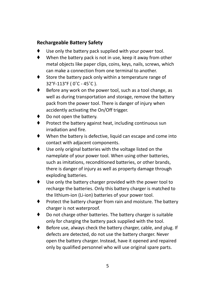### **Rechargeable Battery Safety**

- Use only the battery pack supplied with your power tool.
- ♦ When the battery pack is not in use, keep it away from other metal objects like paper clips, coins, keys, nails, screws, which can make a connection from one terminal to another.
- ♦ Store the battery pack only within a temperature range of 32°F-113°F ( 0˚C - 45˚C ).
- ♦ Before any work on the power tool, such as a tool change, as well as during transportation and storage, remove the battery pack from the power tool. There is danger of injury when accidently activating the On/Off trigger.
- Do not open the battery.
- Protect the battery against heat, including continuous sun irradiation and fire.
- When the battery is defective, liquid can escape and come into contact with adjacent components.
- ♦ Use only original batteries with the voltage listed on the nameplate of your power tool. When using other batteries, such as imitations, reconditioned batteries, or other brands, there is danger of injury as well as property damage through exploding batteries.
- ♦ Use only the battery charger provided with the power tool to recharge the batteries. Only this battery charger is matched to the lithium-ion (Li-ion) batteries of your power tool.
- ♦ Protect the battery charger from rain and moisture. The battery charger is not waterproof.
- ♦ Do not charge other batteries. The battery charger is suitable only for charging the battery pack supplied with the tool.
- ♦ Before use, always check the battery charger, cable, and plug. If defects are detected, do not use the battery charger. Never open the battery charger. Instead, have it opened and repaired only by qualified personnel who will use original spare parts.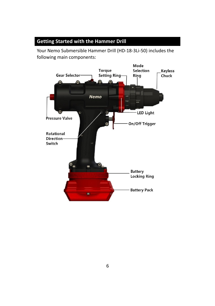### **Getting Started with the Hammer Drill**

Your Nemo Submersible Hammer Drill (HD-18-3Li-50) includes the following main components:

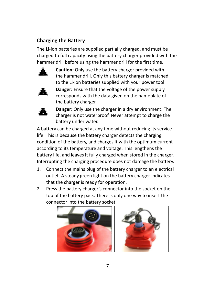### **Charging the Battery**

The Li-ion batteries are supplied partially charged, and must be charged to full capacity using the battery charger provided with the hammer drill before using the hammer drill for the first time.



**Caution:** Only use the battery charger provided with the hammer drill. Only this battery charger is matched to the Li-ion batteries supplied with your power tool.



**Danger:** Ensure that the voltage of the power supply corresponds with the data given on the nameplate of the battery charger.



**Danger:** Only use the charger in a dry environment. The charger is not waterproof. Never attempt to charge the battery under water.

A battery can be charged at any time without reducing its service life. This is because the battery charger detects the charging condition of the battery, and charges it with the optimum current according to its temperature and voltage. This lengthens the battery life, and leaves it fully charged when stored in the charger. Interrupting the charging procedure does not damage the battery.

- 1. Connect the mains plug of the battery charger to an electrical outlet. A steady green light on the battery charger indicates that the charger is ready for operation.
- 2. Press the battery charger's connector into the socket on the top of the battery pack. There is only one way to insert the connector into the battery socket.



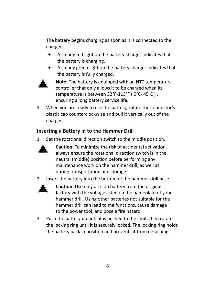The battery begins charging as soon as it is connected to the charger.

- ⬥ A steady red light on the battery charger indicates that the battery is charging.
- ⬥ A steady green light on the battery charger indicates that the battery is fully charged.



**Note:** The battery is equipped with an NTC temperature controller that only allows it to be charged when its temperature is between 32°F-113°F ( 0˚C- 45˚C ) , ensuring a long battery service life.

3. When you are ready to use the battery, rotate the connector's plastic cap counterclockwise and pull it vertically out of the charger.

### **Inserting a Battery in to the Hammer Drill**

1. Set the rotational direction switch to the middle position.



**Caution:** To minimize the risk of accidental activation, always ensure the rotational direction switch is in the neutral (middle) position before performing any maintenance work on the hammer drill, as well as during transportation and storage.

2. Insert the battery into the bottom of the hammer drill base.



**Caution:** Use only a Li-ion battery from the original factory with the voltage listed on the nameplate of your hammer drill. Using other batteries not suitable for the hammer drill can lead to malfunctions, cause damage to the power tool, and pose a fire hazard.

3. Push the battery up until it is pushed to the limit, then rotate the locking ring until it is securely locked. The locking ring holds the battery pack in position and prevents it from detaching.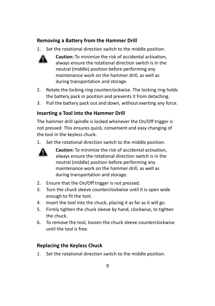### **Removing a Battery from the Hammer Drill**

1. Set the rotational direction switch to the middle position.



**Caution:** To minimize the risk of accidental activation, always ensure the rotational direction switch is in the neutral (middle) position before performing any maintenance work on the hammer drill, as well as during transportation and storage.

- 2. Rotate the locking ring counterclockwise. The locking ring holds the battery pack in position and prevents it from detaching.
- 3. Pull the battery pack out and down, without exerting any force.

#### **Inserting a Tool into the Hammer Drill**

The hammer drill spindle is locked whenever the On/Off trigger is not pressed. This ensures quick, convenient and easy changing of the tool in the keyless chuck.

1. Set the rotational direction switch to the middle position.



**Caution:** To minimize the risk of accidental activation, always ensure the rotational direction switch is in the neutral (middle) position before performing any maintenance work on the hammer drill, as well as during transportation and storage.

- 2. Ensure that the On/Off trigger is not pressed.
- 3. Turn the chuck sleeve counterclockwise until it is open wide enough to fit the tool.
- 4. Insert the tool into the chuck, placing it as far as it will go.
- 5. Firmly tighten the chuck sleeve by hand, clockwise, to tighten the chuck.
- 6. To remove the tool, loosen the chuck sleeve counterclockwise until the tool is free.

#### **Replacing the Keyless Chuck**

1. Set the rotational direction switch to the middle position.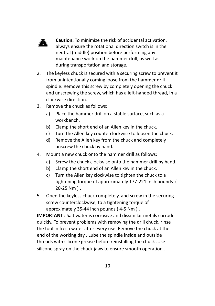

**Caution:** To minimize the risk of accidental activation, always ensure the rotational direction switch is in the neutral (middle) position before performing any maintenance work on the hammer drill, as well as during transportation and storage.

- 2. The keyless chuck is secured with a securing screw to prevent it from unintentionally coming loose from the hammer drill spindle. Remove this screw by completely opening the chuck and unscrewing the screw, which has a left-handed thread, in a clockwise direction.
- 3. Remove the chuck as follows:
	- a) Place the hammer drill on a stable surface, such as a workbench.
	- b) Clamp the short end of an Allen key in the chuck.
	- c) Turn the Allen key counterclockwise to loosen the chuck.
	- d) Remove the Allen key from the chuck and completely unscrew the chuck by hand.
- 4. Mount a new chuck onto the hammer drill as follows:
	- a) Screw the chuck clockwise onto the hammer drill by hand.
	- b) Clamp the short end of an Allen key in the chuck.
	- c) Turn the Allen key clockwise to tighten the chuck to a tightening torque of approximately 177-221 inch pounds ( 20-25 Nm ) .
- 5. Open the keyless chuck completely, and screw in the securing screw counterclockwise, to a tightening torque of approximately 35-44 inch pounds ( 4-5 Nm ) .

**IMPORTANT :** Salt water is corrosive and dissimilar metals corrode quickly. To prevent problems with removing the drill chuck, rinse the tool in fresh water after every use. Remove the chuck at the end of the working day . Lube the spindle inside and outside threads with silicone grease before reinstalling the chuck .Use silicone spray on the chuck jaws to ensure smooth operation .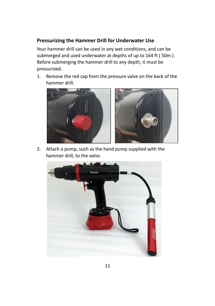### **Pressurizing the Hammer Drill for Underwater Use**

Your hammer drill can be used in any wet conditions, and can be submerged and used underwater at depths of up to 164 ft ( 50m ). Before submerging the hammer drill to any depth, it must be pressurized.

1. Remove the red cap from the pressure valve on the back of the hammer drill.



2. Attach a pump, such as the hand pump supplied with the hammer drill, to the valve.

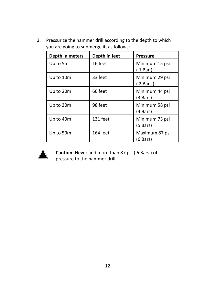3. Pressurize the hammer drill according to the depth to which you are going to submerge it, as follows:

| Depth in meters | Depth in feet | <b>Pressure</b>              |
|-----------------|---------------|------------------------------|
| Up to 5m        | 16 feet       | Minimum 15 psi<br>1 Bar)     |
| Up to 10m       | 33 feet       | Minimum 29 psi<br>2 Bars)    |
| Up to 20m       | 66 feet       | Minimum 44 psi<br>$(3$ Bars) |
| Up to 30m       | 98 feet       | Minimum 58 psi<br>(4 Bars)   |
| Up to 40m       | 131 feet      | Minimum 73 psi<br>$(5$ Bars) |
| Up to 50m       | 164 feet      | Maximum 87 psi<br>(6 Bars)   |



**Caution:** Never add more than 87 psi ( 6 Bars ) of pressure to the hammer drill.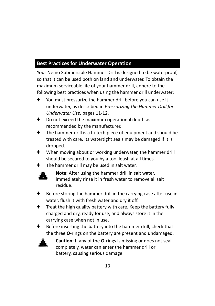## **Best Practices for Underwater Operation**

Your Nemo Submersible Hammer Drill is designed to be waterproof, so that it can be used both on land and underwater. To obtain the maximum serviceable life of your hammer drill, adhere to the following best practices when using the hammer drill underwater:

- You must pressurize the hammer drill before you can use it underwater, as described in *Pressurizing the Hammer Drill for Underwater Use,* pages 11-12.
- Do not exceed the maximum operational depth as recommended by the manufacturer.
- The hammer drill is a hi-tech piece of equipment and should be treated with care. Its watertight seals may be damaged if it is dropped.
- When moving about or working underwater, the hammer drill should be secured to you by a tool leash at all times.
- The hammer drill may be used in salt water.



**Note:** After using the hammer drill in salt water, immediately rinse it in fresh water to remove all salt residue.

- Before storing the hammer drill in the carrying case after use in water, flush it with fresh water and dry it off.
- Treat the high quality battery with care. Keep the battery fully charged and dry, ready for use, and always store it in the carrying case when not in use.
- Before inserting the battery into the hammer drill, check that the three **O**-rings on the battery are present and undamaged.



**Caution:** If any of the **O**-rings is missing or does not seal completely, water can enter the hammer drill or battery, causing serious damage.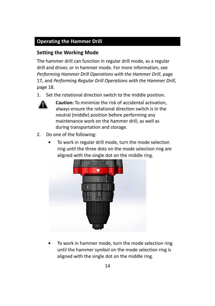### **Operating the Hammer Drill**

### **Setting the Working Mode**

The hammer drill can function in regular drill mode, as a regular drill and driver, or in hammer mode. For more information, see *Performing Hammer Drill Operations with the Hammer Drill*, page 17, and *Performing Regular Drill Operations with the Hammer Drill*, page 18.

1. Set the rotational direction switch to the middle position.



**Caution:** To minimize the risk of accidental activation, always ensure the rotational direction switch is in the neutral (middle) position before performing any maintenance work on the hammer drill, as well as during transportation and storage.

- 2. Do one of the following:
	- ⬥ To work in regular drill mode, turn the mode selection ring until the three dots on the mode selection ring are aligned with the single dot on the middle ring.



⬥ To work in hammer mode, turn the mode selection ring until the hammer symbol on the mode selection ring is aligned with the single dot on the middle ring.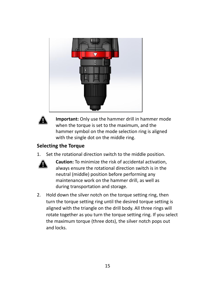



**Important:** Only use the hammer drill in hammer mode when the torque is set to the maximum, and the hammer symbol on the mode selection ring is aligned with the single dot on the middle ring.

#### **Selecting the Torque**

1. Set the rotational direction switch to the middle position.



**Caution:** To minimize the risk of accidental activation, always ensure the rotational direction switch is in the neutral (middle) position before performing any maintenance work on the hammer drill, as well as during transportation and storage.

2. Hold down the silver notch on the torque setting ring, then turn the torque setting ring until the desired torque setting is aligned with the triangle on the drill body. All three rings will rotate together as you turn the torque setting ring. If you select the maximum torque (three dots), the silver notch pops out and locks.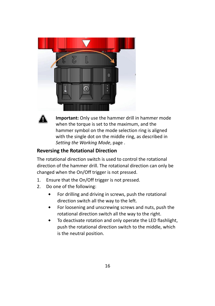



**Important:** Only use the hammer drill in hammer mode when the torque is set to the maximum, and the hammer symbol on the mode selection ring is aligned with the single dot on the middle ring, as described in *Setting the Working Mode*, page .

### **Reversing the Rotational Direction**

The rotational direction switch is used to control the rotational direction of the hammer drill. The rotational direction can only be changed when the On/Off trigger is not pressed.

- 1. Ensure that the On/Off trigger is not pressed.
- 2. Do one of the following:
	- $\bullet$  For drilling and driving in screws, push the rotational direction switch all the way to the left.
	- ⬥ For loosening and unscrewing screws and nuts, push the rotational direction switch all the way to the right.
	- ⬥ To deactivate rotation and only operate the LED flashlight, push the rotational direction switch to the middle, which is the neutral position.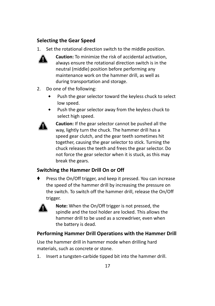### **Selecting the Gear Speed**

1. Set the rotational direction switch to the middle position.



**Caution:** To minimize the risk of accidental activation, always ensure the rotational direction switch is in the neutral (middle) position before performing any maintenance work on the hammer drill, as well as during transportation and storage.

- 2. Do one of the following:
	- ⬥ Push the gear selector toward the keyless chuck to select low speed.
	- ⬥ Push the gear selector away from the keyless chuck to select high speed.



**Caution:** If the gear selector cannot be pushed all the way, lightly turn the chuck. The hammer drill has a speed gear clutch, and the gear teeth sometimes hit together, causing the gear selector to stick. Turning the chuck releases the teeth and frees the gear selector. Do not force the gear selector when it is stuck, as this may break the gears.

#### **Switching the Hammer Drill On or Off**

Press the On/Off trigger, and keep it pressed. You can increase the speed of the hammer drill by increasing the pressure on the switch. To switch off the hammer drill, release the On/Off trigger.



**Note:** When the On/Off trigger is not pressed, the spindle and the tool holder are locked. This allows the hammer drill to be used as a screwdriver, even when the battery is dead.

### **Performing Hammer Drill Operations with the Hammer Drill**

Use the hammer drill in hammer mode when drilling hard materials, such as concrete or stone.

1. Insert a tungsten-carbide tipped bit into the hammer drill.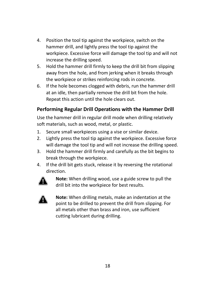- 4. Position the tool tip against the workpiece, switch on the hammer drill, and lightly press the tool tip against the workpiece. Excessive force will damage the tool tip and will not increase the drilling speed.
- 5. Hold the hammer drill firmly to keep the drill bit from slipping away from the hole, and from jerking when it breaks through the workpiece or strikes reinforcing rods in concrete.
- 6. If the hole becomes clogged with debris, run the hammer drill at an idle, then partially remove the drill bit from the hole. Repeat this action until the hole clears out.

### **Performing Regular Drill Operations with the Hammer Drill**

Use the hammer drill in regular drill mode when drilling relatively soft materials, such as wood, metal, or plastic.

- 1. Secure small workpieces using a vise or similar device.
- 2. Lightly press the tool tip against the workpiece. Excessive force will damage the tool tip and will not increase the drilling speed.
- 3. Hold the hammer drill firmly and carefully as the bit begins to break through the workpiece.
- 4. If the drill bit gets stuck, release it by reversing the rotational direction.



**Note:** When drilling wood, use a guide screw to pull the drill bit into the workpiece for best results.



**Note:** When drilling metals, make an indentation at the point to be drilled to prevent the drill from slipping. For all metals other than brass and iron, use sufficient cutting lubricant during drilling.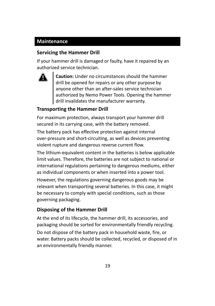### **Maintenance**

### **Servicing the Hammer Drill**

If your hammer drill is damaged or faulty, have it repaired by an authorized service technician.



**Caution:** Under no circumstances should the hammer drill be opened for repairs or any other purpose by anyone other than an after-sales service technician authorized by Nemo Power Tools. Opening the hammer drill invalidates the manufacturer warranty.

### **Transporting the Hammer Drill**

For maximum protection, always transport your hammer drill secured in its carrying case, with the battery removed.

The battery pack has effective protection against internal over-pressure and short-circuiting, as well as devices preventing violent rupture and dangerous reverse current flow.

The lithium-equivalent content in the batteries is below applicable limit values. Therefore, the batteries are not subject to national or international regulations pertaining to dangerous mediums, either as individual components or when inserted into a power tool.

However, the regulations governing dangerous goods may be relevant when transporting several batteries. In this case, it might be necessary to comply with special conditions, such as those governing packaging.

### **Disposing of the Hammer Drill**

At the end of its lifecycle, the hammer drill, its accessories, and packaging should be sorted for environmentally friendly recycling. Do not dispose of the battery pack in household waste, fire, or water. Battery packs should be collected, recycled, or disposed of in an environmentally friendly manner.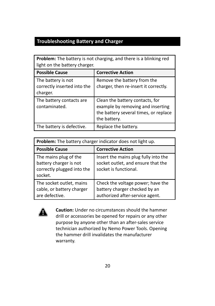### **Troubleshooting Battery and Charger**

| <b>Problem:</b> The battery is not charging, and there is a blinking red<br>light on the battery charger. |                                                                                                                               |
|-----------------------------------------------------------------------------------------------------------|-------------------------------------------------------------------------------------------------------------------------------|
| <b>Possible Cause</b>                                                                                     | <b>Corrective Action</b>                                                                                                      |
| The battery is not<br>correctly inserted into the<br>charger.                                             | Remove the battery from the<br>charger, then re-insert it correctly.                                                          |
| The battery contacts are<br>contaminated.                                                                 | Clean the battery contacts, for<br>example by removing and inserting<br>the battery several times, or replace<br>the battery. |
| The battery is defective.                                                                                 | Replace the battery.                                                                                                          |

| <b>Problem:</b> The battery charger indicator does not light up.                         |                                                                                                       |
|------------------------------------------------------------------------------------------|-------------------------------------------------------------------------------------------------------|
| <b>Possible Cause</b>                                                                    | <b>Corrective Action</b>                                                                              |
| The mains plug of the<br>battery charger is not<br>correctly plugged into the<br>socket. | Insert the mains plug fully into the<br>socket outlet, and ensure that the<br>socket is functional.   |
| The socket outlet, mains<br>cable, or battery charger<br>are defective.                  | Check the voltage power; have the<br>battery charger checked by an<br>authorized after-service agent. |



**Caution:** Under no circumstances should the hammer drill or accessories be opened for repairs or any other purpose by anyone other than an after-sales service technician authorized by Nemo Power Tools. Opening the hammer drill invalidates the manufacturer warranty.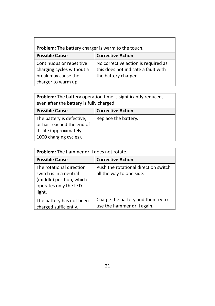| <b>Problem:</b> The battery charger is warm to the touch.                                           |                                                                                                    |
|-----------------------------------------------------------------------------------------------------|----------------------------------------------------------------------------------------------------|
| <b>Possible Cause</b>                                                                               | <b>Corrective Action</b>                                                                           |
| Continuous or repetitive<br>charging cycles without a<br>break may cause the<br>charger to warm up. | No corrective action is required as<br>this does not indicate a fault with<br>the battery charger. |

г

**Problem:** The battery operation time is significantly reduced, even after the battery is fully charged.

| <b>Possible Cause</b>                                  | <b>Corrective Action</b> |
|--------------------------------------------------------|--------------------------|
| The battery is defective,<br>or has reached the end of | Replace the battery.     |
| its life (approximately                                |                          |
| 1000 charging cycles).                                 |                          |

| Problem: The hammer drill does not rotate.                                                                        |                                                                   |
|-------------------------------------------------------------------------------------------------------------------|-------------------------------------------------------------------|
| <b>Possible Cause</b>                                                                                             | <b>Corrective Action</b>                                          |
| The rotational direction<br>switch is in a neutral<br>(middle) position, which<br>operates only the LED<br>light. | Push the rotational direction switch<br>all the way to one side.  |
| The battery has not been<br>charged sufficiently.                                                                 | Charge the battery and then try to<br>use the hammer drill again. |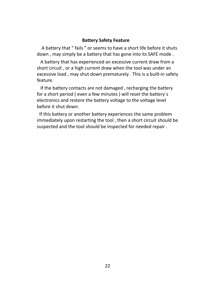#### **Battery Safety Feature**

A battery that " fails " or seems to have a short life before it shuts down , may simply be a battery that has gone into its SAFE mode .

A battery that has experienced an excessive current draw from a short circuit , or a high current draw when the tool was under an excessive load , may shut down prematurely . This is a built-in safety feature.

If the battery contacts are not damaged , recharging the battery for a short period ( even a few minutes ) will reset the battery`s electronics and restore the battery voltage to the voltage level before it shut down.

If this battery or another battery experiences the same problem immediately upon restarting the tool , then a short circuit should be suspected and the tool should be inspected for needed repair .